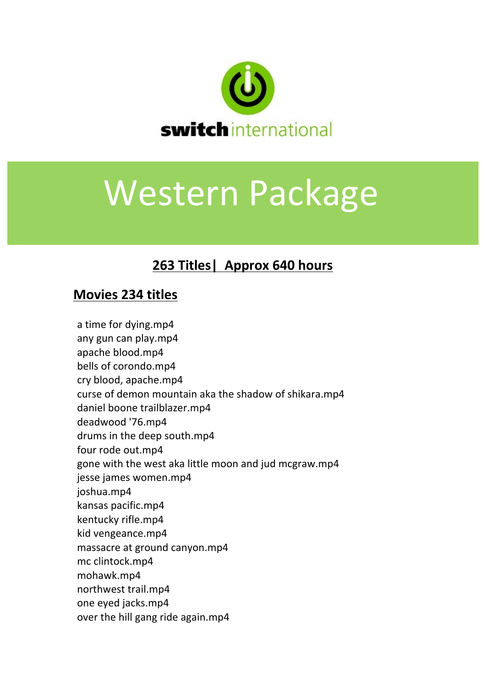

## Western Package

## **263 Titles| Approx 640 hours**

## **Movies 234 titles**

a time for dying.mp4 any gun can play.mp4 apache blood.mp4 bells of corondo.mp4 cry blood, apache.mp4 curse of demon mountain aka the shadow of shikara.mp4 daniel boone trailblazer.mp4 deadwood '76.mp4 drums in the deep south.mp4 four rode out.mp4 gone with the west aka little moon and jud mcgraw.mp4 jesse james women.mp4 joshua.mp4 kansas pacific.mp4 kentucky rifle.mp4 kid vengeance.mp4 massacre at ground canyon.mp4 mc clintock.mp4 mohawk.mp4 northwest trail.mp4 one eyed jacks.mp4 over the hill gang ride again.mp4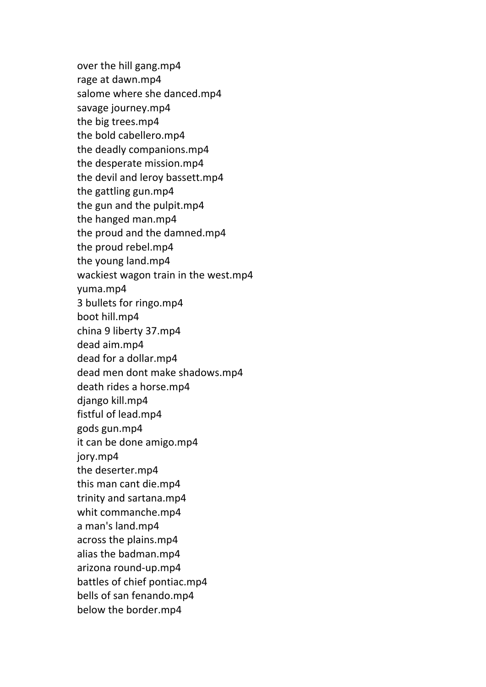over the hill gang.mp4 rage at dawn.mp4 salome where she danced.mp4 savage journey.mp4 the big trees.mp4 the bold cabellero.mp4 the deadly companions.mp4 the desperate mission.mp4 the devil and leroy bassett.mp4 the gattling gun.mp4 the gun and the pulpit.mp4 the hanged man.mp4 the proud and the damned.mp4 the proud rebel.mp4 the young land.mp4 wackiest wagon train in the west.mp4 yuma.mp4 3 bullets for ringo.mp4 boot hill.mp4 china 9 liberty 37.mp4 dead aim.mp4 dead for a dollar.mp4 dead men dont make shadows.mp4 death rides a horse.mp4 django kill.mp4 fistful of lead.mp4 gods gun.mp4 it can be done amigo.mp4 jory.mp4 the deserter.mp4 this man cant die.mp4 trinity and sartana.mp4 whit commanche.mp4 a man's land.mp4 across the plains.mp4 alias the badman.mp4 arizona round-up.mp4 battles of chief pontiac.mp4 bells of san fenando.mp4 below the border.mp4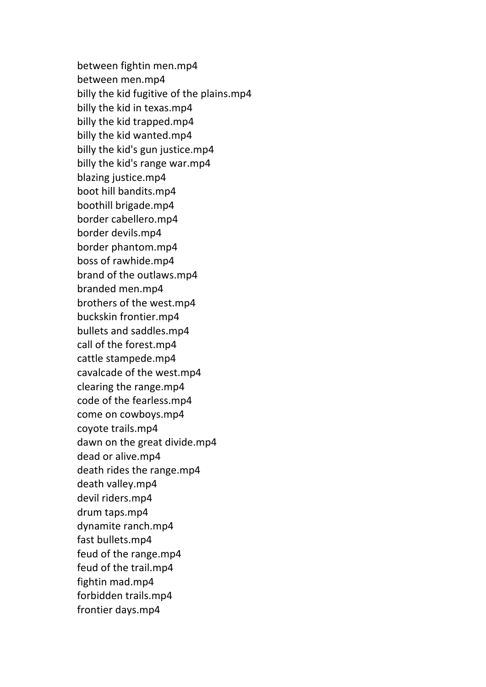between fightin men.mp4 between men.mp4 billy the kid fugitive of the plains.mp4 billy the kid in texas.mp4 billy the kid trapped.mp4 billy the kid wanted.mp4 billy the kid's gun justice.mp4 billy the kid's range war.mp4 blazing justice.mp4 boot hill bandits.mp4 boothill brigade.mp4 border cabellero.mp4 border devils.mp4 border phantom.mp4 boss of rawhide.mp4 brand of the outlaws.mp4 branded men.mp4 brothers of the west.mp4 buckskin frontier.mp4 bullets and saddles.mp4 call of the forest.mp4 cattle stampede.mp4 cavalcade of the west.mp4 clearing the range.mp4 code of the fearless.mp4 come on cowboys.mp4 coyote trails.mp4 dawn on the great divide.mp4 dead or alive.mp4 death rides the range.mp4 death valley.mp4 devil riders.mp4 drum taps.mp4 dynamite ranch.mp4 fast bullets.mp4 feud of the range.mp4 feud of the trail.mp4 fightin mad.mp4 forbidden trails.mp4 frontier days.mp4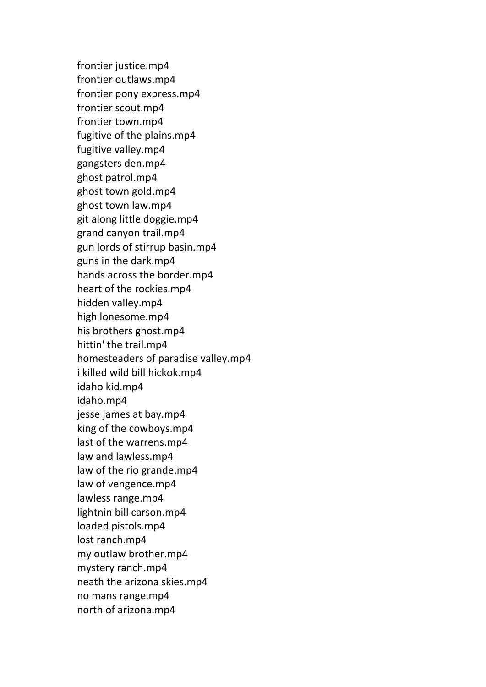frontier justice.mp4 frontier outlaws.mp4 frontier pony express.mp4 frontier scout.mp4 frontier town.mp4 fugitive of the plains.mp4 fugitive valley.mp4 gangsters den.mp4 ghost patrol.mp4 ghost town gold.mp4 ghost town law.mp4 git along little doggie.mp4 grand canyon trail.mp4 gun lords of stirrup basin.mp4 guns in the dark.mp4 hands across the border.mp4 heart of the rockies.mp4 hidden valley.mp4 high lonesome.mp4 his brothers ghost.mp4 hittin' the trail.mp4 homesteaders of paradise valley.mp4 i killed wild bill hickok.mp4 idaho kid.mp4 idaho.mp4 jesse james at bay.mp4 king of the cowboys.mp4 last of the warrens.mp4 law and lawless.mp4 law of the rio grande.mp4 law of vengence.mp4 lawless range.mp4 lightnin bill carson.mp4 loaded pistols.mp4 lost ranch.mp4 my outlaw brother.mp4 mystery ranch.mp4 neath the arizona skies.mp4 no mans range.mp4 north of arizona.mp4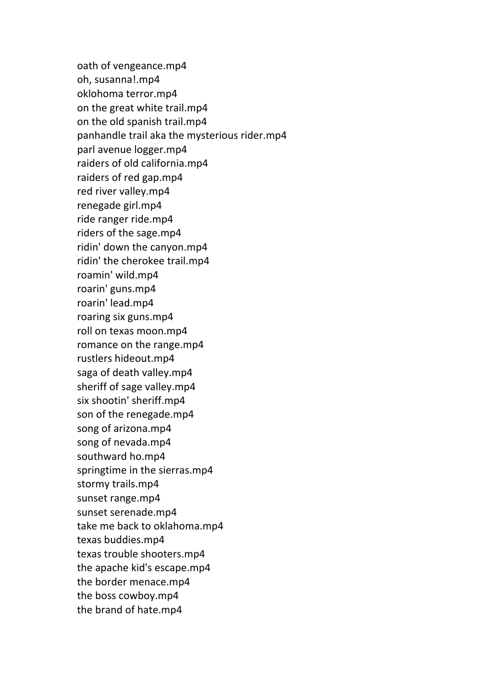oath of vengeance.mp4 oh, susanna!.mp4 oklohoma terror.mp4 on the great white trail.mp4 on the old spanish trail.mp4 panhandle trail aka the mysterious rider.mp4 parl avenue logger.mp4 raiders of old california.mp4 raiders of red gap.mp4 red river valley.mp4 renegade girl.mp4 ride ranger ride.mp4 riders of the sage.mp4 ridin' down the canyon.mp4 ridin' the cherokee trail.mp4 roamin' wild.mp4 roarin' guns.mp4 roarin' lead.mp4 roaring six guns.mp4 roll on texas moon.mp4 romance on the range.mp4 rustlers hideout.mp4 saga of death valley.mp4 sheriff of sage valley.mp4 six shootin' sheriff.mp4 son of the renegade.mp4 song of arizona.mp4 song of nevada.mp4 southward ho.mp4 springtime in the sierras.mp4 stormy trails.mp4 sunset range.mp4 sunset serenade.mp4 take me back to oklahoma.mp4 texas buddies.mp4 texas trouble shooters.mp4 the apache kid's escape.mp4 the border menace.mp4 the boss cowboy.mp4 the brand of hate.mp4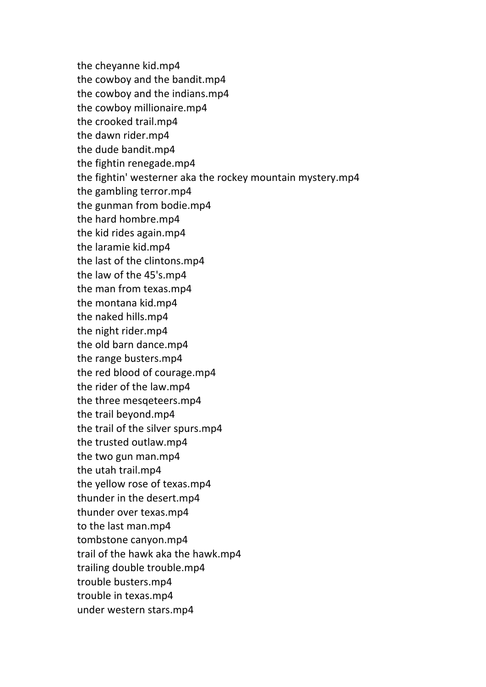the cheyanne kid.mp4 the cowboy and the bandit.mp4 the cowboy and the indians.mp4 the cowboy millionaire.mp4 the crooked trail.mp4 the dawn rider.mp4 the dude bandit.mp4 the fightin renegade.mp4 the fightin' westerner aka the rockey mountain mystery.mp4 the gambling terror.mp4 the gunman from bodie.mp4 the hard hombre.mp4 the kid rides again.mp4 the laramie kid.mp4 the last of the clintons.mp4 the law of the 45's.mp4 the man from texas.mp4 the montana kid.mp4 the naked hills.mp4 the night rider.mp4 the old barn dance.mp4 the range busters.mp4 the red blood of courage.mp4 the rider of the law.mp4 the three mesqeteers.mp4 the trail beyond.mp4 the trail of the silver spurs.mp4 the trusted outlaw.mp4 the two gun man.mp4 the utah trail.mp4 the yellow rose of texas.mp4 thunder in the desert.mp4 thunder over texas.mp4 to the last man.mp4 tombstone canyon.mp4 trail of the hawk aka the hawk.mp4 trailing double trouble.mp4 trouble busters.mp4 trouble in texas.mp4 under western stars.mp4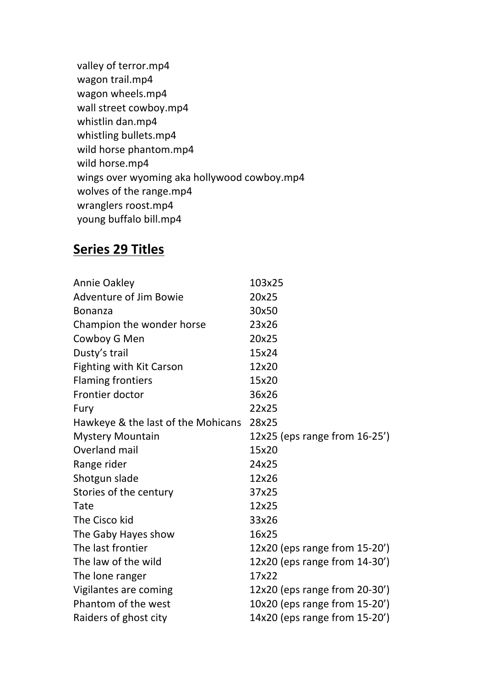valley of terror.mp4 wagon trail.mp4 wagon wheels.mp4 wall street cowboy.mp4 whistlin dan.mp4 whistling bullets.mp4 wild horse phantom.mp4 wild horse.mp4 wings over wyoming aka hollywood cowboy.mp4 wolves of the range.mp4 wranglers roost.mp4 young buffalo bill.mp4

## **Series 29 Titles**

| Annie Oakley                       | 103x25                        |
|------------------------------------|-------------------------------|
| <b>Adventure of Jim Bowie</b>      | 20x25                         |
| <b>Bonanza</b>                     | 30x50                         |
| Champion the wonder horse          | 23x26                         |
| Cowboy G Men                       | 20x25                         |
| Dusty's trail                      | 15x24                         |
| <b>Fighting with Kit Carson</b>    | 12x20                         |
| <b>Flaming frontiers</b>           | 15x20                         |
| Frontier doctor                    | 36x26                         |
| Fury                               | 22x25                         |
| Hawkeye & the last of the Mohicans | 28x25                         |
| <b>Mystery Mountain</b>            | 12x25 (eps range from 16-25') |
| Overland mail                      | 15x20                         |
| Range rider                        | 24x25                         |
| Shotgun slade                      | 12x26                         |
| Stories of the century             | 37x25                         |
| Tate                               | 12x25                         |
| The Cisco kid                      | 33x26                         |
| The Gaby Hayes show                | 16x25                         |
| The last frontier                  | 12x20 (eps range from 15-20') |
| The law of the wild                | 12x20 (eps range from 14-30') |
| The lone ranger                    | 17x22                         |
| Vigilantes are coming              | 12x20 (eps range from 20-30') |
| Phantom of the west                | 10x20 (eps range from 15-20') |
| Raiders of ghost city              | 14x20 (eps range from 15-20') |